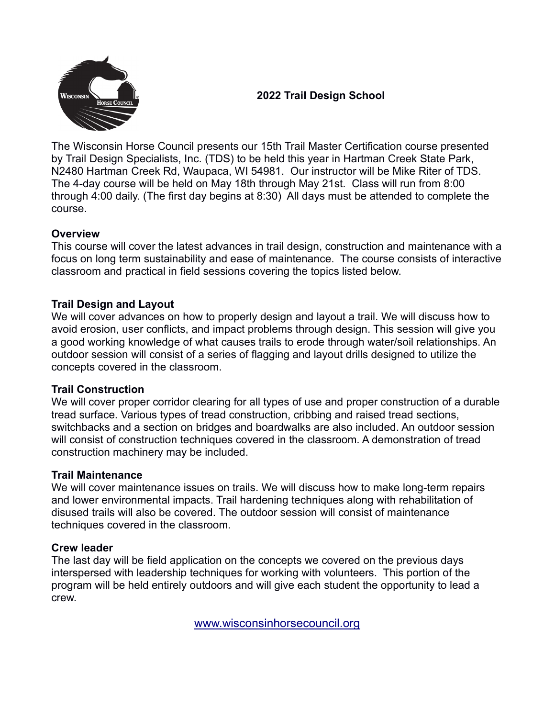

# **2022 Trail Design School**

The Wisconsin Horse Council presents our 15th Trail Master Certification course presented by Trail Design Specialists, Inc. (TDS) to be held this year in Hartman Creek State Park, N2480 Hartman Creek Rd, Waupaca, WI 54981. Our instructor will be Mike Riter of TDS. The 4-day course will be held on May 18th through May 21st. Class will run from 8:00 through 4:00 daily. (The first day begins at 8:30) All days must be attended to complete the course.

## **Overview**

This course will cover the latest advances in trail design, construction and maintenance with a focus on long term sustainability and ease of maintenance. The course consists of interactive classroom and practical in field sessions covering the topics listed below.

## **Trail Design and Layout**

We will cover advances on how to properly design and layout a trail. We will discuss how to avoid erosion, user conflicts, and impact problems through design. This session will give you a good working knowledge of what causes trails to erode through water/soil relationships. An outdoor session will consist of a series of flagging and layout drills designed to utilize the concepts covered in the classroom.

#### **Trail Construction**

We will cover proper corridor clearing for all types of use and proper construction of a durable tread surface. Various types of tread construction, cribbing and raised tread sections, switchbacks and a section on bridges and boardwalks are also included. An outdoor session will consist of construction techniques covered in the classroom. A demonstration of tread construction machinery may be included.

#### **Trail Maintenance**

We will cover maintenance issues on trails. We will discuss how to make long-term repairs and lower environmental impacts. Trail hardening techniques along with rehabilitation of disused trails will also be covered. The outdoor session will consist of maintenance techniques covered in the classroom.

#### **Crew leader**

The last day will be field application on the concepts we covered on the previous days interspersed with leadership techniques for working with volunteers. This portion of the program will be held entirely outdoors and will give each student the opportunity to lead a crew.

[www.wisconsinhorsecouncil.org](http://www.wisconsinhorsecouncil.org/)